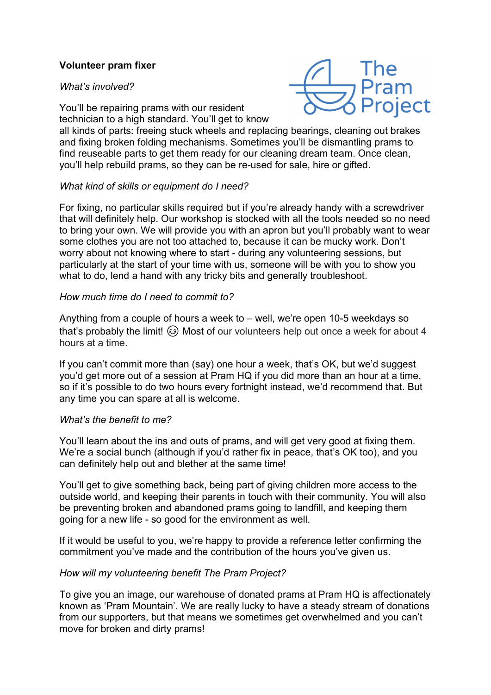# Volunteer pram fixer

## What's involved?



You'll be repairing prams with our resident technician to a high standard. You'll get to know

all kinds of parts: freeing stuck wheels and replacing bearings, cleaning out brakes and fixing broken folding mechanisms. Sometimes you'll be dismantling prams to find reuseable parts to get them ready for our cleaning dream team. Once clean, you'll help rebuild prams, so they can be re-used for sale, hire or gifted.

## What kind of skills or equipment do I need?

For fixing, no particular skills required but if you're already handy with a screwdriver that will definitely help. Our workshop is stocked with all the tools needed so no need to bring your own. We will provide you with an apron but you'll probably want to wear some clothes you are not too attached to, because it can be mucky work. Don't worry about not knowing where to start - during any volunteering sessions, but particularly at the start of your time with us, someone will be with you to show you what to do, lend a hand with any tricky bits and generally troubleshoot.

## How much time do I need to commit to?

Anything from a couple of hours a week to – well, we're open 10-5 weekdays so that's probably the limit!  $\odot$  Most of our volunteers help out once a week for about 4 hours at a time.

If you can't commit more than (say) one hour a week, that's OK, but we'd suggest you'd get more out of a session at Pram HQ if you did more than an hour at a time, so if it's possible to do two hours every fortnight instead, we'd recommend that. But any time you can spare at all is welcome.

#### What's the benefit to me?

You'll learn about the ins and outs of prams, and will get very good at fixing them. We're a social bunch (although if you'd rather fix in peace, that's OK too), and you can definitely help out and blether at the same time!

You'll get to give something back, being part of giving children more access to the outside world, and keeping their parents in touch with their community. You will also be preventing broken and abandoned prams going to landfill, and keeping them going for a new life - so good for the environment as well.

If it would be useful to you, we're happy to provide a reference letter confirming the commitment you've made and the contribution of the hours you've given us.

## How will my volunteering benefit The Pram Project?

To give you an image, our warehouse of donated prams at Pram HQ is affectionately known as 'Pram Mountain'. We are really lucky to have a steady stream of donations from our supporters, but that means we sometimes get overwhelmed and you can't move for broken and dirty prams!